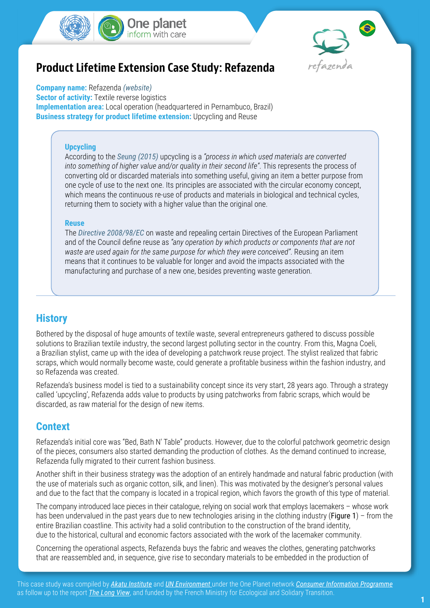



# **Product Lifetime Extension Case Study: Refazenda**

**Company name:** Refazenda *[\(website\)](https://www.vivarefazenda.com.br/)* **Sector of activity:** Textile reverse logistics **Implementation area:** Local operation (headquartered in Pernambuco, Brazil) **Business strategy for product lifetime extension:** Upcycling and Reuse

#### **Upcycling**

According to the *[Seung \(2015\)](http://irep.ntu.ac.uk/id/eprint/12706/1/219287_PubSub1825_Sung.pdf)* upcycling is a *"process in which used materials are converted into something of higher value and/or quality in their second life"*. This represents the process of converting old or discarded materials into something useful, giving an item a better purpose from one cycle of use to the next one. Its principles are associated with the circular economy concept, which means the continuous re-use of products and materials in biological and technical cycles, returning them to society with a higher value than the original one.

#### **Reuse**

The *[Directive 2008/98/EC](https://eur-lex.europa.eu/legal-content/EN/TXT/PDF/?uri=CELEX:32008L0098&from=EN)* on waste and repealing certain Directives of the European Parliament and of the Council define reuse as *"any operation by which products or components that are not waste are used again for the same purpose for which they were conceived"*. Reusing an item means that it continues to be valuable for longer and avoid the impacts associated with the manufacturing and purchase of a new one, besides preventing waste generation.

### **History**

Bothered by the disposal of huge amounts of textile waste, several entrepreneurs gathered to discuss possible solutions to Brazilian textile industry, the second largest polluting sector in the country. From this, Magna Coeli, a Brazilian stylist, came up with the idea of developing a patchwork reuse project. The stylist realized that fabric scraps, which would normally become waste, could generate a profitable business within the fashion industry, and so Refazenda was created.

Refazenda's business model is tied to a sustainability concept since its very start, 28 years ago. Through a strategy called 'upcycling', Refazenda adds value to products by using patchworks from fabric scraps, which would be discarded, as raw material for the design of new items.

#### **Context**

Refazenda's initial core was "Bed, Bath N' Table" products. However, due to the colorful patchwork geometric design of the pieces, consumers also started demanding the production of clothes. As the demand continued to increase, Refazenda fully migrated to their current fashion business.

Another shift in their business strategy was the adoption of an entirely handmade and natural fabric production (with the use of materials such as organic cotton, silk, and linen). This was motivated by the designer's personal values and due to the fact that the company is located in a tropical region, which favors the growth of this type of material.

The company introduced lace pieces in their catalogue, relying on social work that employs lacemakers – whose work has been undervalued in the past years due to new technologies arising in the clothing industry (Figure 1) – from the entire Brazilian coastline. This activity had a solid contribution to the construction of the brand identity, due to the historical, cultural and economic factors associated with the work of the lacemaker community.

Concerning the operational aspects, Refazenda buys the fabric and weaves the clothes, generating patchworks that are reassembled and, in sequence, give rise to secondary materials to be embedded in the production of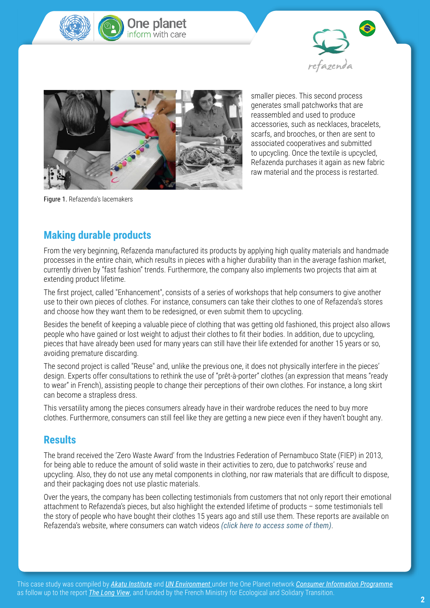





smaller pieces. This second process generates small patchworks that are reassembled and used to produce accessories, such as necklaces, bracelets, scarfs, and brooches, or then are sent to associated cooperatives and submitted to upcycling. Once the textile is upcycled, Refazenda purchases it again as new fabric raw material and the process is restarted.

Figure 1. Refazenda's lacemakers

# **Making durable products**

From the very beginning, Refazenda manufactured its products by applying high quality materials and handmade processes in the entire chain, which results in pieces with a higher durability than in the average fashion market, currently driven by "fast fashion" trends. Furthermore, the company also implements two projects that aim at extending product lifetime.

The first project, called "Enhancement", consists of a series of workshops that help consumers to give another use to their own pieces of clothes. For instance, consumers can take their clothes to one of Refazenda's stores and choose how they want them to be redesigned, or even submit them to upcycling.

Besides the benefit of keeping a valuable piece of clothing that was getting old fashioned, this project also allows people who have gained or lost weight to adjust their clothes to fit their bodies. In addition, due to upcycling, pieces that have already been used for many years can still have their life extended for another 15 years or so, avoiding premature discarding.

The second project is called "Reuse" and, unlike the previous one, it does not physically interfere in the pieces' design. Experts offer consultations to rethink the use of "prêt-à-porter" clothes (an expression that means "ready to wear" in French), assisting people to change their perceptions of their own clothes. For instance, a long skirt can become a strapless dress.

This versatility among the pieces consumers already have in their wardrobe reduces the need to buy more clothes. Furthermore, consumers can still feel like they are getting a new piece even if they haven't bought any.

### **Results**

The brand received the 'Zero Waste Award' from the Industries Federation of Pernambuco State (FIEP) in 2013, for being able to reduce the amount of solid waste in their activities to zero, due to patchworks' reuse and upcycling. Also, they do not use any metal components in clothing, nor raw materials that are difficult to dispose, and their packaging does not use plastic materials.

Over the years, the company has been collecting testimonials from customers that not only report their emotional attachment to Refazenda's pieces, but also highlight the extended lifetime of products – some testimonials tell the story of people who have bought their clothes 15 years ago and still use them. These reports are available on Refazenda's website, where consumers can watch videos *[\(click here to access some of them\)](https://www.vivarefazenda.com.br/universo-refazenda/?categoria=V%C3%ADdeos-Fotos-e-M%C3%BAsica)*.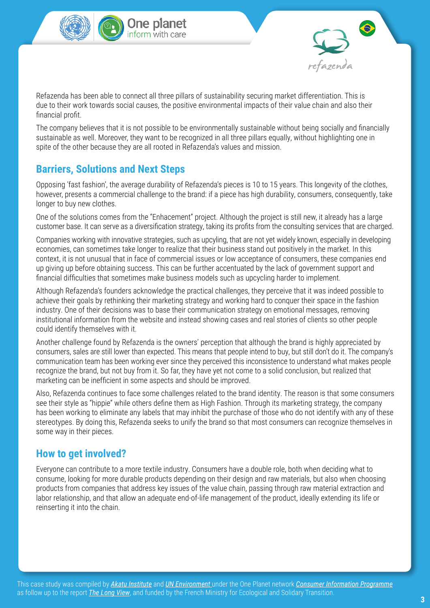





Refazenda has been able to connect all three pillars of sustainability securing market differentiation. This is due to their work towards social causes, the positive environmental impacts of their value chain and also their financial profit.

The company believes that it is not possible to be environmentally sustainable without being socially and financially sustainable as well. Moreover, they want to be recognized in all three pillars equally, without highlighting one in spite of the other because they are all rooted in Refazenda's values and mission.

### **Barriers, Solutions and Next Steps**

Opposing 'fast fashion', the average durability of Refazenda's pieces is 10 to 15 years. This longevity of the clothes, however, presents a commercial challenge to the brand: if a piece has high durability, consumers, consequently, take longer to buy new clothes.

One of the solutions comes from the "Enhacement" project. Although the project is still new, it already has a large customer base. It can serve as a diversification strategy, taking its profits from the consulting services that are charged.

Companies working with innovative strategies, such as upcyling, that are not yet widely known, especially in developing economies, can sometimes take longer to realize that their business stand out positively in the market. In this context, it is not unusual that in face of commercial issues or low acceptance of consumers, these companies end up giving up before obtaining success. This can be further accentuated by the lack of government support and financial difficulties that sometimes make business models such as upcycling harder to implement.

Although Refazenda's founders acknowledge the practical challenges, they perceive that it was indeed possible to achieve their goals by rethinking their marketing strategy and working hard to conquer their space in the fashion industry. One of their decisions was to base their communication strategy on emotional messages, removing institutional information from the website and instead showing cases and real stories of clients so other people could identify themselves with it.

Another challenge found by Refazenda is the owners' perception that although the brand is highly appreciated by consumers, sales are still lower than expected. This means that people intend to buy, but still don't do it. The company's communication team has been working ever since they perceived this inconsistence to understand what makes people recognize the brand, but not buy from it. So far, they have yet not come to a solid conclusion, but realized that marketing can be inefficient in some aspects and should be improved.

Also, Refazenda continues to face some challenges related to the brand identity. The reason is that some consumers see their style as "hippie" while others define them as High Fashion. Through its marketing strategy, the company has been working to eliminate any labels that may inhibit the purchase of those who do not identify with any of these stereotypes. By doing this, Refazenda seeks to unify the brand so that most consumers can recognize themselves in some way in their pieces.

## **How to get involved?**

Everyone can contribute to a more textile industry. Consumers have a double role, both when deciding what to consume, looking for more durable products depending on their design and raw materials, but also when choosing products from companies that address key issues of the value chain, passing through raw material extraction and labor relationship, and that allow an adequate end-of-life management of the product, ideally extending its life or reinserting it into the chain.